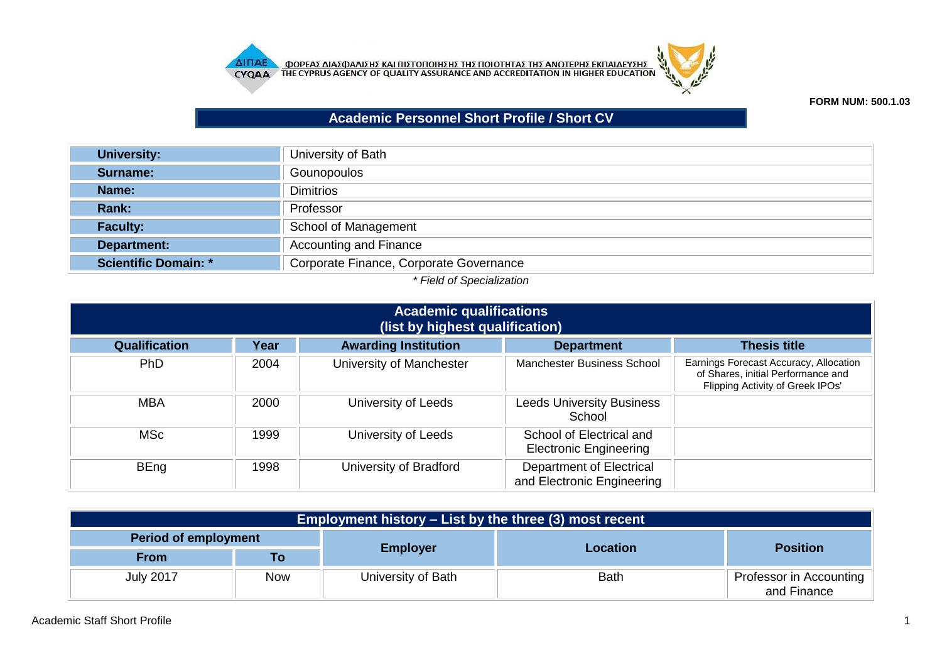



## **FORM NUM: 500.1.03**

## **Academic Personnel Short Profile / Short CV**

| University of Bath                      |
|-----------------------------------------|
| Gounopoulos                             |
| <b>Dimitrios</b>                        |
| Professor                               |
| School of Management                    |
| <b>Accounting and Finance</b>           |
| Corporate Finance, Corporate Governance |
|                                         |

## *\* Field of Specialization*

| <b>Academic qualifications</b><br>(list by highest qualification) |      |                             |                                                           |                                                                                                                  |
|-------------------------------------------------------------------|------|-----------------------------|-----------------------------------------------------------|------------------------------------------------------------------------------------------------------------------|
| <b>Qualification</b>                                              | Year | <b>Awarding Institution</b> | <b>Department</b>                                         | <b>Thesis title</b>                                                                                              |
| PhD                                                               | 2004 | University of Manchester    | <b>Manchester Business School</b>                         | Earnings Forecast Accuracy, Allocation<br>of Shares, initial Performance and<br>Flipping Activity of Greek IPOs' |
| <b>MBA</b>                                                        | 2000 | University of Leeds         | <b>Leeds University Business</b><br>School                |                                                                                                                  |
| <b>MSc</b>                                                        | 1999 | University of Leeds         | School of Electrical and<br><b>Electronic Engineering</b> |                                                                                                                  |
| <b>BEng</b>                                                       | 1998 | University of Bradford      | Department of Electrical<br>and Electronic Engineering    |                                                                                                                  |

| <b>Employment history – List by the three (3) most recent</b> |            |                    |             |                                        |  |
|---------------------------------------------------------------|------------|--------------------|-------------|----------------------------------------|--|
| <b>Period of employment</b>                                   |            |                    |             |                                        |  |
| <b>From</b>                                                   | Τo         | <b>Employer</b>    | Location    | <b>Position</b>                        |  |
| <b>July 2017</b>                                              | <b>Now</b> | University of Bath | <b>Bath</b> | Professor in Accounting<br>and Finance |  |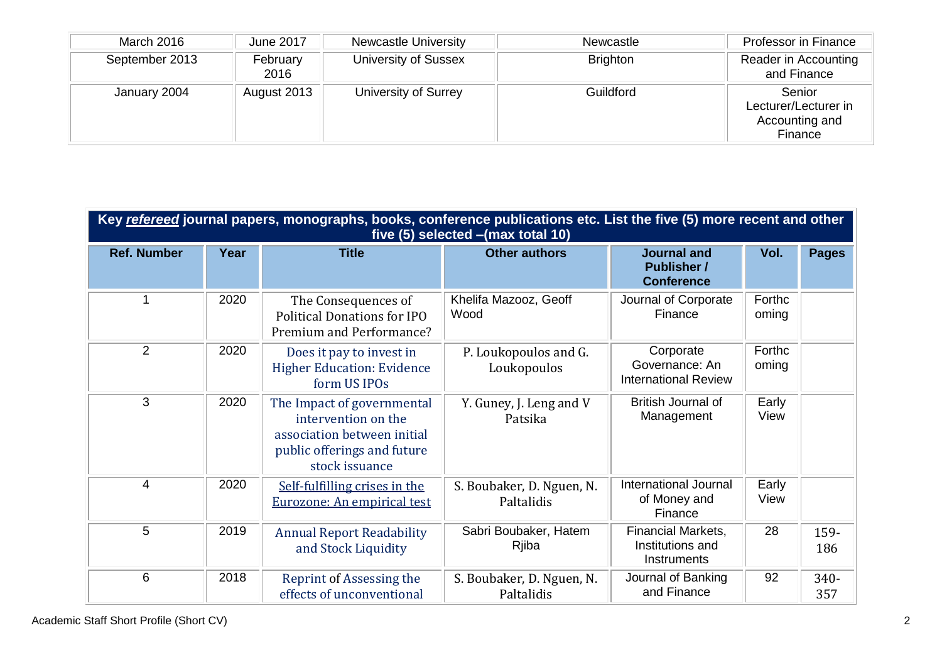| March 2016     | June 2017        | <b>Newcastle University</b> | Newcastle       | Professor in Finance                                        |
|----------------|------------------|-----------------------------|-----------------|-------------------------------------------------------------|
| September 2013 | February<br>2016 | University of Sussex        | <b>Brighton</b> | Reader in Accounting<br>and Finance                         |
| January 2004   | August 2013      | University of Surrey        | Guildford       | Senior<br>Lecturer/Lecturer in<br>Accounting and<br>Finance |

| Key refereed journal papers, monographs, books, conference publications etc. List the five (5) more recent and other<br>five $(5)$ selected $-(max total 10)$ |      |                                                                                                                                   |                                         |                                                               |                 |              |
|---------------------------------------------------------------------------------------------------------------------------------------------------------------|------|-----------------------------------------------------------------------------------------------------------------------------------|-----------------------------------------|---------------------------------------------------------------|-----------------|--------------|
| <b>Ref. Number</b>                                                                                                                                            | Year | <b>Title</b>                                                                                                                      | <b>Other authors</b>                    | <b>Journal and</b><br><b>Publisher /</b><br><b>Conference</b> | Vol.            | <b>Pages</b> |
| 1                                                                                                                                                             | 2020 | The Consequences of<br><b>Political Donations for IPO</b><br>Premium and Performance?                                             | Khelifa Mazooz, Geoff<br>Wood           | Journal of Corporate<br>Finance                               | Forthc<br>oming |              |
| 2                                                                                                                                                             | 2020 | Does it pay to invest in<br><b>Higher Education: Evidence</b><br>form US IPOs                                                     | P. Loukopoulos and G.<br>Loukopoulos    | Corporate<br>Governance: An<br><b>International Review</b>    | Forthc<br>oming |              |
| 3                                                                                                                                                             | 2020 | The Impact of governmental<br>intervention on the<br>association between initial<br>public offerings and future<br>stock issuance | Y. Guney, J. Leng and V<br>Patsika      | British Journal of<br>Management                              | Early<br>View   |              |
| $\overline{4}$                                                                                                                                                | 2020 | Self-fulfilling crises in the<br>Eurozone: An empirical test                                                                      | S. Boubaker, D. Nguen, N.<br>Paltalidis | <b>International Journal</b><br>of Money and<br>Finance       | Early<br>View   |              |
| 5                                                                                                                                                             | 2019 | <b>Annual Report Readability</b><br>and Stock Liquidity                                                                           | Sabri Boubaker, Hatem<br>Rjiba          | <b>Financial Markets,</b><br>Institutions and<br>Instruments  | 28              | 159-<br>186  |
| 6                                                                                                                                                             | 2018 | Reprint of Assessing the<br>effects of unconventional                                                                             | S. Boubaker, D. Nguen, N.<br>Paltalidis | Journal of Banking<br>and Finance                             | 92              | 340-<br>357  |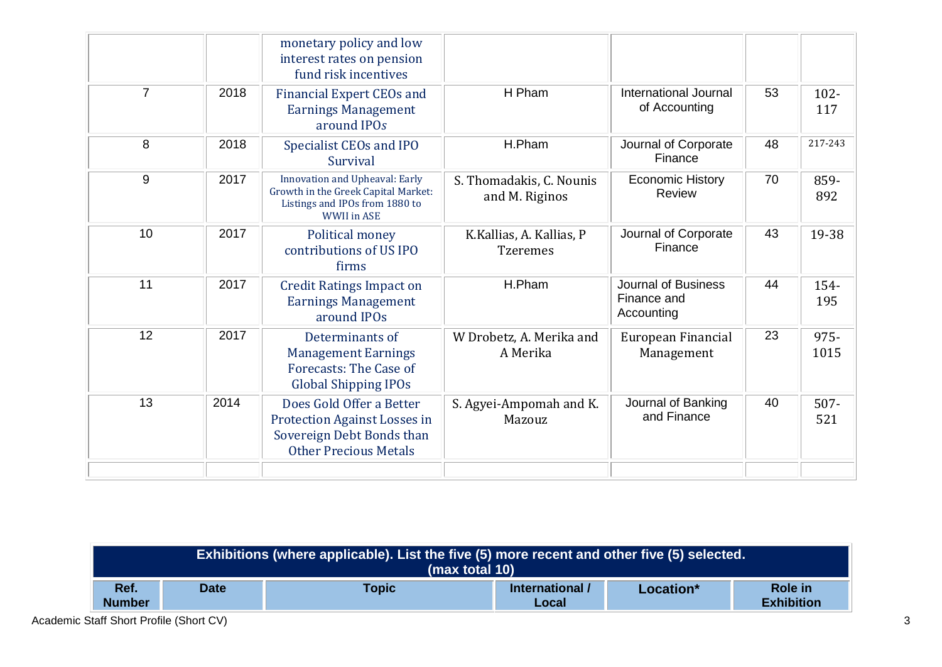|                |      | monetary policy and low<br>interest rates on pension<br>fund risk incentives                                                         |                                             |                                                         |    |                |
|----------------|------|--------------------------------------------------------------------------------------------------------------------------------------|---------------------------------------------|---------------------------------------------------------|----|----------------|
| $\overline{7}$ | 2018 | <b>Financial Expert CEOs and</b><br><b>Earnings Management</b><br>around IPOs                                                        | H Pham                                      | International Journal<br>of Accounting                  | 53 | $102 -$<br>117 |
| 8              | 2018 | Specialist CEOs and IPO<br>Survival                                                                                                  | H.Pham                                      | Journal of Corporate<br>Finance                         | 48 | 217-243        |
| 9              | 2017 | <b>Innovation and Upheaval: Early</b><br>Growth in the Greek Capital Market:<br>Listings and IPOs from 1880 to<br><b>WWII</b> in ASE | S. Thomadakis, C. Nounis<br>and M. Riginos  | <b>Economic History</b><br>Review                       | 70 | 859-<br>892    |
| 10             | 2017 | Political money<br>contributions of US IPO<br>firms                                                                                  | K.Kallias, A. Kallias, P<br><b>Tzeremes</b> | Journal of Corporate<br>Finance                         | 43 | 19-38          |
| 11             | 2017 | <b>Credit Ratings Impact on</b><br><b>Earnings Management</b><br>around IPOs                                                         | H.Pham                                      | <b>Journal of Business</b><br>Finance and<br>Accounting | 44 | 154-<br>195    |
| 12             | 2017 | Determinants of<br><b>Management Earnings</b><br>Forecasts: The Case of<br><b>Global Shipping IPOs</b>                               | W Drobetz, A. Merika and<br>A Merika        | European Financial<br>Management                        | 23 | 975-<br>1015   |
| 13             | 2014 | Does Gold Offer a Better<br><b>Protection Against Losses in</b><br>Sovereign Debt Bonds than<br><b>Other Precious Metals</b>         | S. Agyei-Ampomah and K.<br>Mazouz           | Journal of Banking<br>and Finance                       | 40 | $507 -$<br>521 |
|                |      |                                                                                                                                      |                                             |                                                         |    |                |

|                       | Exhibitions (where applicable). List the five (5) more recent and other five (5) selected.<br>(max total 10) |              |                          |           |                              |
|-----------------------|--------------------------------------------------------------------------------------------------------------|--------------|--------------------------|-----------|------------------------------|
| Ref.<br><b>Number</b> | <b>Date</b>                                                                                                  | <b>Topic</b> | International /<br>Local | Location* | Role in<br><b>Exhibition</b> |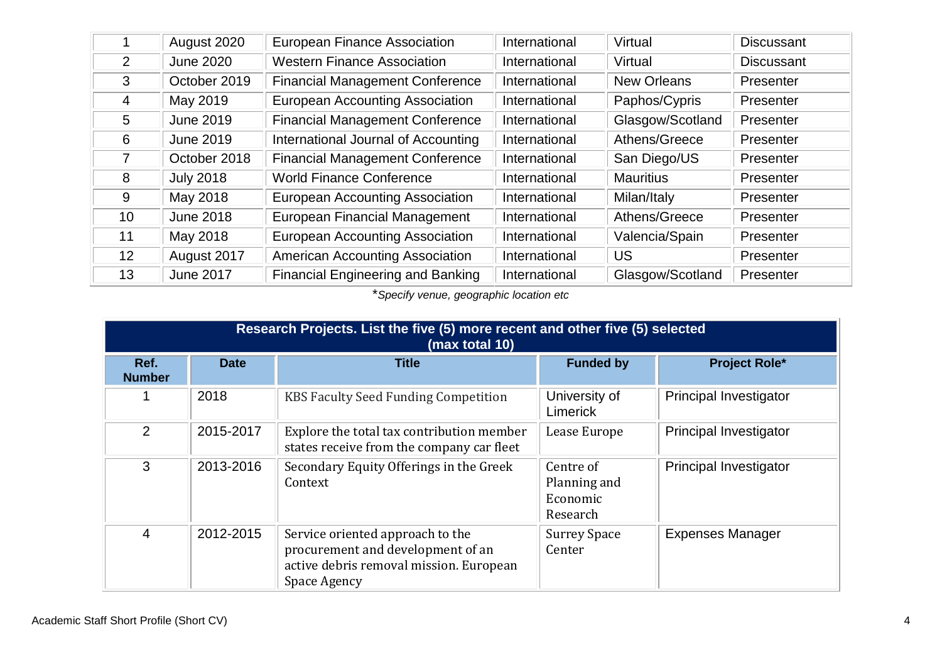|                 | August 2020      | <b>European Finance Association</b>      | International | Virtual            | <b>Discussant</b> |
|-----------------|------------------|------------------------------------------|---------------|--------------------|-------------------|
| $\overline{2}$  | <b>June 2020</b> | <b>Western Finance Association</b>       | International | Virtual            | <b>Discussant</b> |
| 3               | October 2019     | <b>Financial Management Conference</b>   | International | <b>New Orleans</b> | Presenter         |
| 4               | May 2019         | <b>European Accounting Association</b>   | International | Paphos/Cypris      | Presenter         |
| 5               | <b>June 2019</b> | <b>Financial Management Conference</b>   | International | Glasgow/Scotland   | Presenter         |
| 6               | June 2019        | International Journal of Accounting      | International | Athens/Greece      | Presenter         |
| 7               | October 2018     | <b>Financial Management Conference</b>   | International | San Diego/US       | Presenter         |
| 8               | <b>July 2018</b> | <b>World Finance Conference</b>          | International | <b>Mauritius</b>   | Presenter         |
| 9               | May 2018         | <b>European Accounting Association</b>   | International | Milan/Italy        | Presenter         |
| 10 <sup>°</sup> | <b>June 2018</b> | <b>European Financial Management</b>     | International | Athens/Greece      | Presenter         |
| 11              | May 2018         | <b>European Accounting Association</b>   | International | Valencia/Spain     | Presenter         |
| 12 <sup>2</sup> | August 2017      | <b>American Accounting Association</b>   | International | US                 | Presenter         |
| 13              | <b>June 2017</b> | <b>Financial Engineering and Banking</b> | International | Glasgow/Scotland   | Presenter         |

\**Specify venue, geographic location etc*

|                       | Research Projects. List the five (5) more recent and other five (5) selected<br>(max total 10) |                                                                                                                                  |                                                   |                               |  |  |
|-----------------------|------------------------------------------------------------------------------------------------|----------------------------------------------------------------------------------------------------------------------------------|---------------------------------------------------|-------------------------------|--|--|
| Ref.<br><b>Number</b> | <b>Date</b>                                                                                    | <b>Title</b>                                                                                                                     | <b>Funded by</b>                                  | <b>Project Role*</b>          |  |  |
|                       | 2018                                                                                           | <b>KBS Faculty Seed Funding Competition</b>                                                                                      | University of<br>Limerick                         | <b>Principal Investigator</b> |  |  |
| 2                     | 2015-2017                                                                                      | Explore the total tax contribution member<br>states receive from the company car fleet                                           | Lease Europe                                      | <b>Principal Investigator</b> |  |  |
| 3                     | 2013-2016                                                                                      | Secondary Equity Offerings in the Greek<br>Context                                                                               | Centre of<br>Planning and<br>Economic<br>Research | <b>Principal Investigator</b> |  |  |
| 4                     | 2012-2015                                                                                      | Service oriented approach to the<br>procurement and development of an<br>active debris removal mission. European<br>Space Agency | <b>Surrey Space</b><br>Center                     | <b>Expenses Manager</b>       |  |  |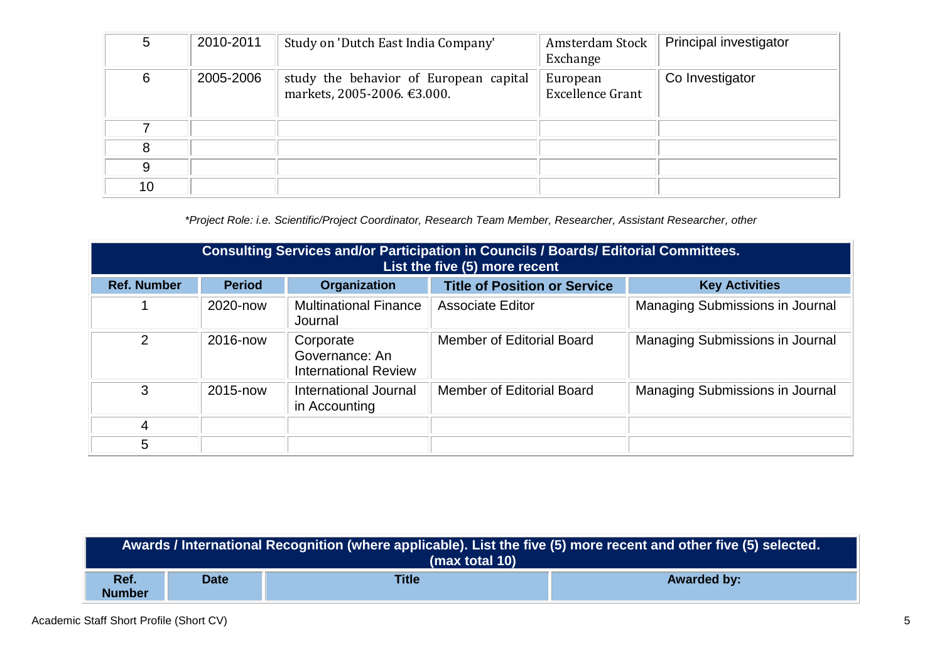| 5  | 2010-2011 | Study on 'Dutch East India Company'                                   | Amsterdam Stock<br>Exchange         | Principal investigator |
|----|-----------|-----------------------------------------------------------------------|-------------------------------------|------------------------|
| 6  | 2005-2006 | study the behavior of European capital<br>markets, 2005-2006. €3.000. | European<br><b>Excellence Grant</b> | Co Investigator        |
| ⇁  |           |                                                                       |                                     |                        |
| 8  |           |                                                                       |                                     |                        |
| 9  |           |                                                                       |                                     |                        |
| 10 |           |                                                                       |                                     |                        |

*\*Project Role: i.e. Scientific/Project Coordinator, Research Team Member, Researcher, Assistant Researcher, other*

|                    | <b>Consulting Services and/or Participation in Councils / Boards/ Editorial Committees.</b><br>List the five (5) more recent |                                                            |                                     |                                        |  |
|--------------------|------------------------------------------------------------------------------------------------------------------------------|------------------------------------------------------------|-------------------------------------|----------------------------------------|--|
| <b>Ref. Number</b> | <b>Period</b>                                                                                                                | Organization                                               | <b>Title of Position or Service</b> | <b>Key Activities</b>                  |  |
|                    | 2020-now                                                                                                                     | <b>Multinational Finance</b><br>Journal                    | <b>Associate Editor</b>             | <b>Managing Submissions in Journal</b> |  |
| 2                  | 2016-now                                                                                                                     | Corporate<br>Governance: An<br><b>International Review</b> | Member of Editorial Board           | <b>Managing Submissions in Journal</b> |  |
| 3                  | 2015-now                                                                                                                     | International Journal<br>in Accounting                     | Member of Editorial Board           | <b>Managing Submissions in Journal</b> |  |
| 4                  |                                                                                                                              |                                                            |                                     |                                        |  |
| 5                  |                                                                                                                              |                                                            |                                     |                                        |  |

| Awards / International Recognition (where applicable). List the five (5) more recent and other five (5) selected.<br>(max total 10) |             |              |                    |
|-------------------------------------------------------------------------------------------------------------------------------------|-------------|--------------|--------------------|
| Ref.<br><b>Number</b>                                                                                                               | <b>Date</b> | <b>Title</b> | <b>Awarded by:</b> |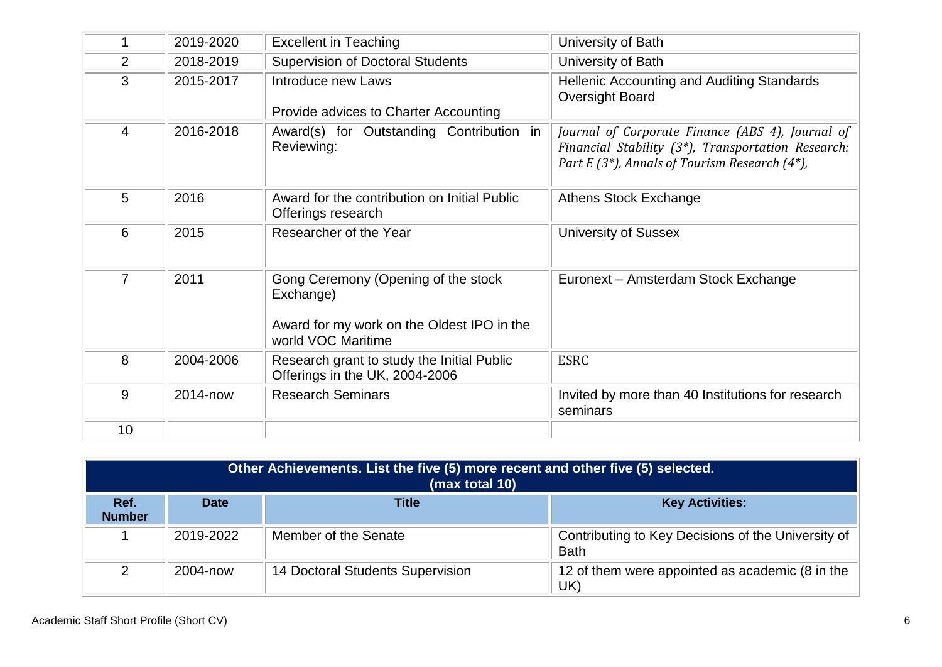|                | 2019-2020 | <b>Excellent in Teaching</b>                                                                                         | University of Bath                                                                                                                                      |
|----------------|-----------|----------------------------------------------------------------------------------------------------------------------|---------------------------------------------------------------------------------------------------------------------------------------------------------|
| $\overline{2}$ | 2018-2019 | <b>Supervision of Doctoral Students</b>                                                                              | University of Bath                                                                                                                                      |
| 3              | 2015-2017 | Introduce new Laws<br>Provide advices to Charter Accounting                                                          | Hellenic Accounting and Auditing Standards<br>Oversight Board                                                                                           |
| 4              | 2016-2018 | Award(s) for Outstanding Contribution in<br>Reviewing:                                                               | Journal of Corporate Finance (ABS 4), Journal of<br>Financial Stability (3*), Transportation Research:<br>Part E (3*), Annals of Tourism Research (4*), |
| 5              | 2016      | Award for the contribution on Initial Public<br>Offerings research                                                   | <b>Athens Stock Exchange</b>                                                                                                                            |
| 6              | 2015      | Researcher of the Year                                                                                               | <b>University of Sussex</b>                                                                                                                             |
| $\overline{7}$ | 2011      | Gong Ceremony (Opening of the stock<br>Exchange)<br>Award for my work on the Oldest IPO in the<br>world VOC Maritime | Euronext - Amsterdam Stock Exchange                                                                                                                     |
| 8              | 2004-2006 | Research grant to study the Initial Public<br>Offerings in the UK, 2004-2006                                         | <b>ESRC</b>                                                                                                                                             |
| 9              | 2014-now  | <b>Research Seminars</b>                                                                                             | Invited by more than 40 Institutions for research<br>seminars                                                                                           |
| 10             |           |                                                                                                                      |                                                                                                                                                         |

| Other Achievements. List the five (5) more recent and other five (5) selected.<br>(max total 10) |             |                                  |                                                                   |  |  |  |
|--------------------------------------------------------------------------------------------------|-------------|----------------------------------|-------------------------------------------------------------------|--|--|--|
| Ref.<br><b>Number</b>                                                                            | <b>Date</b> | Title                            | <b>Key Activities:</b>                                            |  |  |  |
|                                                                                                  | 2019-2022   | Member of the Senate             | Contributing to Key Decisions of the University of<br><b>Bath</b> |  |  |  |
|                                                                                                  | 2004-now    | 14 Doctoral Students Supervision | 12 of them were appointed as academic (8 in the<br>UK)            |  |  |  |